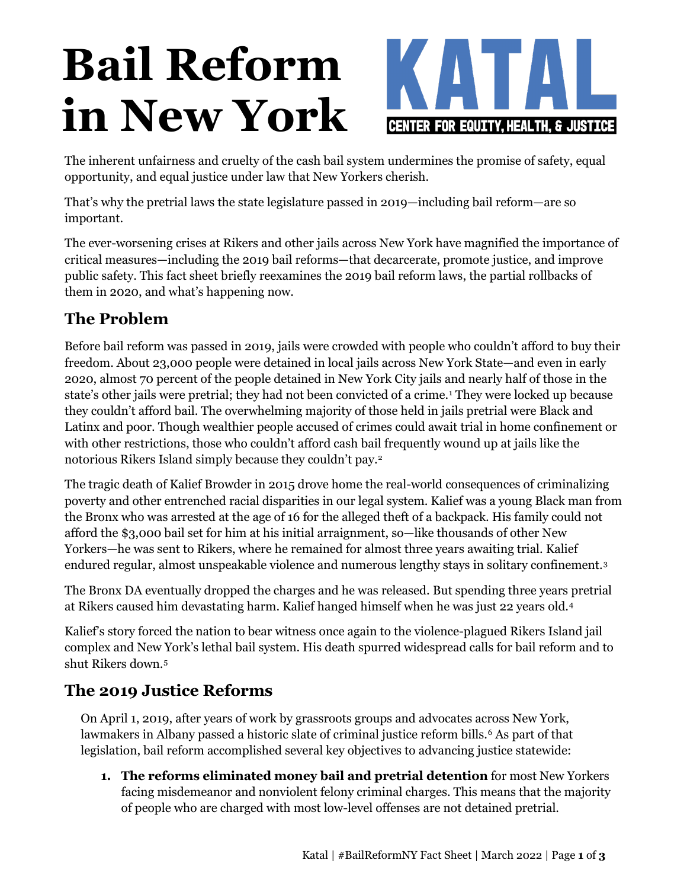# **Bail Reform in New York**



The inherent unfairness and cruelty of the cash bail system undermines the promise of safety, equal opportunity, and equal justice under law that New Yorkers cherish.

That's why the pretrial laws the state legislature passed in 2019—including bail reform—are so important.

The ever-worsening crises at Rikers and other jails across New York have magnified the importance of critical measures—including the 2019 bail reforms—that decarcerate, promote justice, and improve public safety. This fact sheet briefly reexamines the 2019 bail reform laws, the partial rollbacks of them in 2020, and what's happening now.

# **The Problem**

Before bail reform was passed in 2019, jails were crowded with people who couldn't afford to buy their freedom. About 23,000 people were detained in local jails across New York State—and even in early 2020, almost 70 percent of the people detained in New York City jails and nearly half of those in the state's other jails were pretrial; they had not been convicted of a crime.<sup>[1](#page-2-0)</sup> They were locked up because they couldn't afford bail. The overwhelming majority of those held in jails pretrial were Black and Latinx and poor. Though wealthier people accused of crimes could await trial in home confinement or with other restrictions, those who couldn't afford cash bail frequently wound up at jails like the notorious Rikers Island simply because they couldn't pay.[2](#page-2-1)

The tragic death of Kalief Browder in 2015 drove home the real-world consequences of criminalizing poverty and other entrenched racial disparities in our legal system. Kalief was a young Black man from the Bronx who was arrested at the age of 16 for the alleged theft of a backpack. His family could not afford the \$3,000 bail set for him at his initial arraignment, so—like thousands of other New Yorkers—he was sent to Rikers, where he remained for almost three years awaiting trial. Kalief endured regular, almost unspeakable violence and numerous lengthy stays in solitary confinement.[3](#page-2-2)

The Bronx DA eventually dropped the charges and he was released. But spending three years pretrial at Rikers caused him devastating harm. Kalief hanged himself when he was just 22 years old.[4](#page-2-3)

Kalief's story forced the nation to bear witness once again to the violence-plagued Rikers Island jail complex and New York's lethal bail system. His death spurred widespread calls for bail reform and to shut Rikers down.[5](#page-2-4)

# **The 2019 Justice Reforms**

On April 1, 2019, after years of work by grassroots groups and advocates across New York, lawmakers in Albany passed a historic slate of criminal justice reform bills.<sup>[6](#page-2-5)</sup> As part of that legislation, bail reform accomplished several key objectives to advancing justice statewide:

**1. The reforms eliminated money bail and pretrial detention** for most New Yorkers facing misdemeanor and nonviolent felony criminal charges. This means that the majority of people who are charged with most low-level offenses are not detained pretrial.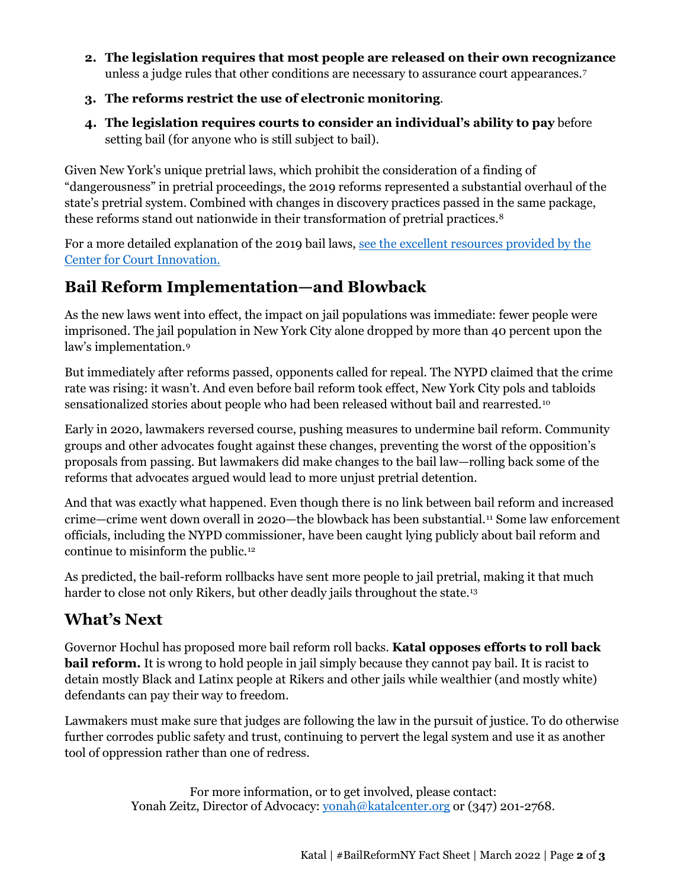- **2. The legislation requires that most people are released on their own recognizance** unless a judge rules that other conditions are necessary to assurance court appearances[.7](#page-2-6)
- **3. The reforms restrict the use of electronic monitoring**.
- **4. The legislation requires courts to consider an individual's ability to pay** before setting bail (for anyone who is still subject to bail).

Given New York's unique pretrial laws, which prohibit the consideration of a finding of "dangerousness" in pretrial proceedings, the 2019 reforms represented a substantial overhaul of the state's pretrial system. Combined with changes in discovery practices passed in the same package, these reforms stand out nationwide in their transformation of pretrial practices.[8](#page-2-7)

For a more detailed explanation of the 2019 bail laws, see the [excellent resources provided by the](https://www.courtinnovation.org/publications/bail-reform-NYS) [Center for Court Innovation.](https://www.courtinnovation.org/publications/bail-reform-NYS)

#### **Bail Reform Implementation—and Blowback**

As the new laws went into effect, the impact on jail populations was immediate: fewer people were imprisoned. The jail population in New York City alone dropped by more than 40 percent upon the law's implementation.[9](#page-2-8)

But immediately after reforms passed, opponents called for repeal. The NYPD claimed that the crime rate was rising: it wasn't. And even before bail reform took effect, New York City pols and tabloids sensationalized stories about people who had been released without bail and rearrested.[10](#page-2-9)

Early in 2020, lawmakers reversed course, pushing measures to undermine bail reform. Community groups and other advocates fought against these changes, preventing the worst of the opposition's proposals from passing. But lawmakers did make changes to the bail law—rolling back some of the reforms that advocates argued would lead to more unjust pretrial detention.

And that was exactly what happened. Even though there is no link between bail reform and increased crime—crime went down overall in 2020—the blowback has been substantial.[11](#page-2-10) Some law enforcement officials, including the NYPD commissioner, have been caught lying publicly about bail reform and continue to misinform the public.[12](#page-2-11)

As predicted, the bail-reform rollbacks have sent more people to jail pretrial, making it that much harder to close not only Rikers, but other deadly jails throughout the state.<sup>[13](#page-2-12)</sup>

### **What's Next**

Governor Hochul has proposed more bail reform roll backs. **Katal opposes efforts to roll back bail reform.** It is wrong to hold people in jail simply because they cannot pay bail. It is racist to detain mostly Black and Latinx people at Rikers and other jails while wealthier (and mostly white) defendants can pay their way to freedom.

Lawmakers must make sure that judges are following the law in the pursuit of justice. To do otherwise further corrodes public safety and trust, continuing to pervert the legal system and use it as another tool of oppression rather than one of redress.

> For more information, or to get involved, please contact: Yonah Zeitz, Director of Advocacy: [yonah@katalcenter.org](mailto:yonah@katalcenter.org) or (347) 201-2768.